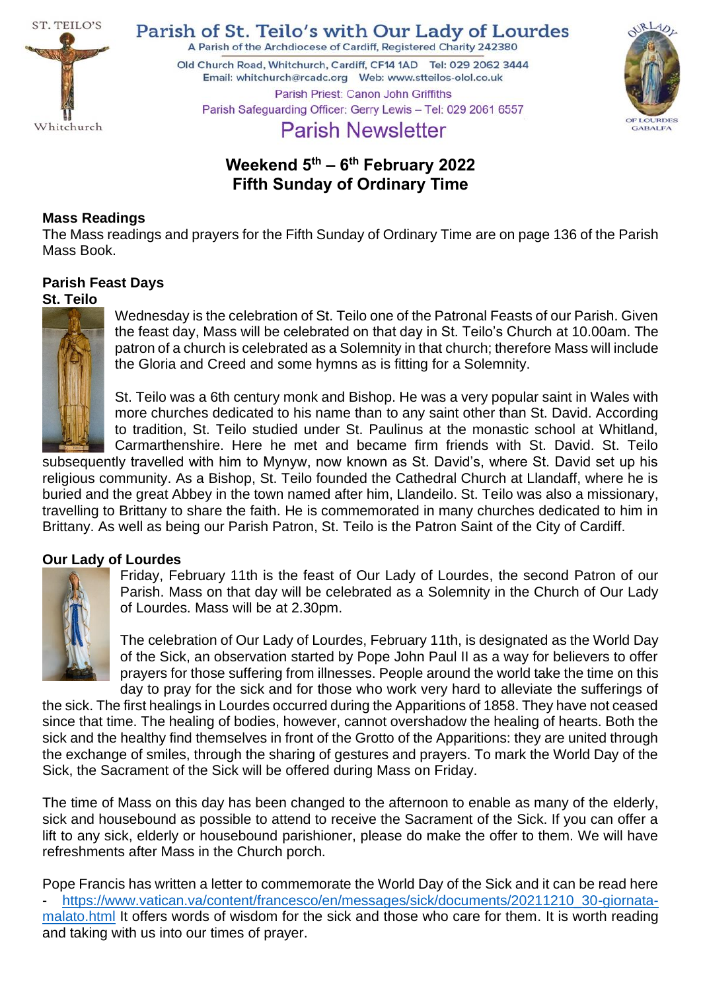

Parish of St. Teilo's with Our Lady of Lourdes

A Parish of the Archdiocese of Cardiff, Registered Charity 242380

Old Church Road, Whitchurch, Cardiff, CF14 1AD Tel: 029 2062 3444 Parish Priest: Canon John Griffiths Parish Safeguarding Officer: Gerry Lewis - Tel: 029 2061 6557



# **Parish Newsletter**

## **Weekend 5 th – 6 th February 2022 Fifth Sunday of Ordinary Time**

## **Mass Readings**

The Mass readings and prayers for the Fifth Sunday of Ordinary Time are on page 136 of the Parish Mass Book.

# **Parish Feast Days**

## **St. Teilo**



Wednesday is the celebration of St. Teilo one of the Patronal Feasts of our Parish. Given the feast day, Mass will be celebrated on that day in St. Teilo's Church at 10.00am. The patron of a church is celebrated as a Solemnity in that church; therefore Mass will include the Gloria and Creed and some hymns as is fitting for a Solemnity.

St. Teilo was a 6th century monk and Bishop. He was a very popular saint in Wales with more churches dedicated to his name than to any saint other than St. David. According to tradition, St. Teilo studied under St. Paulinus at the monastic school at Whitland, Carmarthenshire. Here he met and became firm friends with St. David. St. Teilo

subsequently travelled with him to Mynyw, now known as St. David's, where St. David set up his religious community. As a Bishop, St. Teilo founded the Cathedral Church at Llandaff, where he is buried and the great Abbey in the town named after him, Llandeilo. St. Teilo was also a missionary, travelling to Brittany to share the faith. He is commemorated in many churches dedicated to him in Brittany. As well as being our Parish Patron, St. Teilo is the Patron Saint of the City of Cardiff.

## **Our Lady of Lourdes**



Friday, February 11th is the feast of Our Lady of Lourdes, the second Patron of our Parish. Mass on that day will be celebrated as a Solemnity in the Church of Our Lady of Lourdes. Mass will be at 2.30pm.

The celebration of Our Lady of Lourdes, February 11th, is designated as the World Day of the Sick, an observation started by Pope John Paul II as a way for believers to offer prayers for those suffering from illnesses. People around the world take the time on this day to pray for the sick and for those who work very hard to alleviate the sufferings of

the sick. The first healings in Lourdes occurred during the Apparitions of 1858. They have not ceased since that time. The healing of bodies, however, cannot overshadow the healing of hearts. Both the sick and the healthy find themselves in front of the Grotto of the Apparitions: they are united through the exchange of smiles, through the sharing of gestures and prayers. To mark the World Day of the Sick, the Sacrament of the Sick will be offered during Mass on Friday.

The time of Mass on this day has been changed to the afternoon to enable as many of the elderly, sick and housebound as possible to attend to receive the Sacrament of the Sick. If you can offer a lift to any sick, elderly or housebound parishioner, please do make the offer to them. We will have refreshments after Mass in the Church porch.

Pope Francis has written a letter to commemorate the World Day of the Sick and it can be read here - [https://www.vatican.va/content/francesco/en/messages/sick/documents/20211210\\_30-giornata](https://www.vatican.va/content/francesco/en/messages/sick/documents/20211210_30-giornata-malato.html)[malato.html](https://www.vatican.va/content/francesco/en/messages/sick/documents/20211210_30-giornata-malato.html) It offers words of wisdom for the sick and those who care for them. It is worth reading and taking with us into our times of prayer.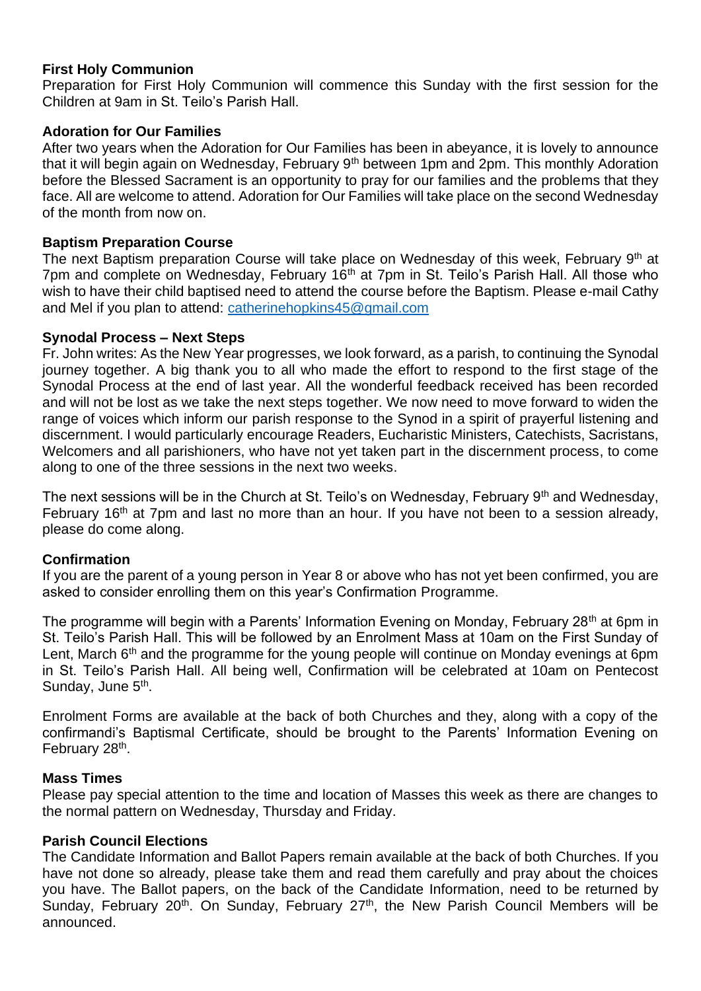## **First Holy Communion**

Preparation for First Holy Communion will commence this Sunday with the first session for the Children at 9am in St. Teilo's Parish Hall.

## **Adoration for Our Families**

After two years when the Adoration for Our Families has been in abeyance, it is lovely to announce that it will begin again on Wednesday, February 9<sup>th</sup> between 1pm and 2pm. This monthly Adoration before the Blessed Sacrament is an opportunity to pray for our families and the problems that they face. All are welcome to attend. Adoration for Our Families will take place on the second Wednesday of the month from now on.

## **Baptism Preparation Course**

The next Baptism preparation Course will take place on Wednesday of this week, February 9<sup>th</sup> at 7pm and complete on Wednesday, February 16<sup>th</sup> at 7pm in St. Teilo's Parish Hall. All those who wish to have their child baptised need to attend the course before the Baptism. Please e-mail Cathy and Mel if you plan to attend: [catherinehopkins45@gmail.com](mailto:catherinehopkins45@gmail.com)

## **Synodal Process – Next Steps**

Fr. John writes: As the New Year progresses, we look forward, as a parish, to continuing the Synodal journey together. A big thank you to all who made the effort to respond to the first stage of the Synodal Process at the end of last year. All the wonderful feedback received has been recorded and will not be lost as we take the next steps together. We now need to move forward to widen the range of voices which inform our parish response to the Synod in a spirit of prayerful listening and discernment. I would particularly encourage Readers, Eucharistic Ministers, Catechists, Sacristans, Welcomers and all parishioners, who have not yet taken part in the discernment process, to come along to one of the three sessions in the next two weeks.

The next sessions will be in the Church at St. Teilo's on Wednesday, February 9<sup>th</sup> and Wednesday, February 16<sup>th</sup> at 7pm and last no more than an hour. If you have not been to a session already, please do come along.

## **Confirmation**

If you are the parent of a young person in Year 8 or above who has not yet been confirmed, you are asked to consider enrolling them on this year's Confirmation Programme.

The programme will begin with a Parents' Information Evening on Monday, February 28<sup>th</sup> at 6pm in St. Teilo's Parish Hall. This will be followed by an Enrolment Mass at 10am on the First Sunday of Lent, March 6<sup>th</sup> and the programme for the young people will continue on Monday evenings at 6pm in St. Teilo's Parish Hall. All being well, Confirmation will be celebrated at 10am on Pentecost Sunday, June 5<sup>th</sup>.

Enrolment Forms are available at the back of both Churches and they, along with a copy of the confirmandi's Baptismal Certificate, should be brought to the Parents' Information Evening on February 28<sup>th</sup>.

## **Mass Times**

Please pay special attention to the time and location of Masses this week as there are changes to the normal pattern on Wednesday, Thursday and Friday.

## **Parish Council Elections**

The Candidate Information and Ballot Papers remain available at the back of both Churches. If you have not done so already, please take them and read them carefully and pray about the choices you have. The Ballot papers, on the back of the Candidate Information, need to be returned by Sunday, February 20<sup>th</sup>. On Sunday, February 27<sup>th</sup>, the New Parish Council Members will be announced.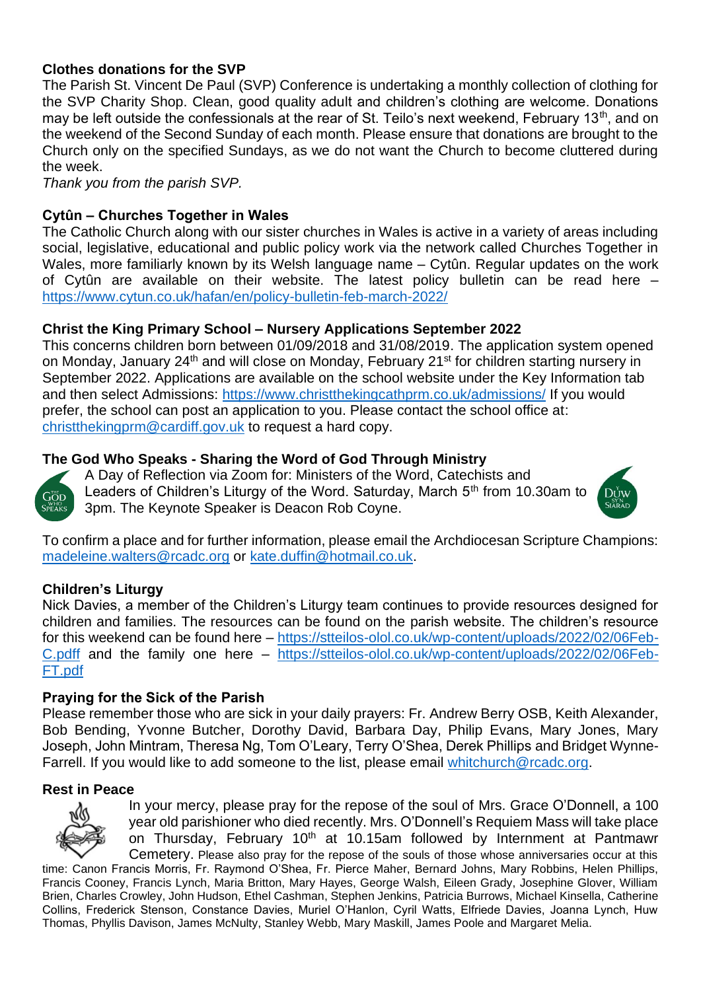## **Clothes donations for the SVP**

The Parish St. Vincent De Paul (SVP) Conference is undertaking a monthly collection of clothing for the SVP Charity Shop. Clean, good quality adult and children's clothing are welcome. Donations may be left outside the confessionals at the rear of St. Teilo's next weekend. February 13<sup>th</sup>, and on the weekend of the Second Sunday of each month. Please ensure that donations are brought to the Church only on the specified Sundays, as we do not want the Church to become cluttered during the week.

*Thank you from the parish SVP.*

## **Cytûn – Churches Together in Wales**

The Catholic Church along with our sister churches in Wales is active in a variety of areas including social, legislative, educational and public policy work via the network called Churches Together in Wales, more familiarly known by its Welsh language name – Cytûn. Regular updates on the work of Cytûn are available on their website. The latest policy bulletin can be read here – <https://www.cytun.co.uk/hafan/en/policy-bulletin-feb-march-2022/>

## **Christ the King Primary School – Nursery Applications September 2022**

This concerns children born between 01/09/2018 and 31/08/2019. The application system opened on Monday, January 24<sup>th</sup> and will close on Monday, February 21<sup>st</sup> for children starting nursery in September 2022. Applications are available on the school website under the Key Information tab and then select Admissions:<https://www.christthekingcathprm.co.uk/admissions/> If you would prefer, the school can post an application to you. Please contact the school office at: [christthekingprm@cardiff.gov.uk](mailto:christthekingprm@cardiff.gov.uk) to request a hard copy.

## **The God Who Speaks - Sharing the Word of God Through Ministry**



A Day of Reflection via Zoom for: Ministers of the Word, Catechists and Leaders of Children's Liturgy of the Word. Saturday, March 5<sup>th</sup> from 10.30am to 3pm. The Keynote Speaker is Deacon Rob Coyne.



To confirm a place and for further information, please email the Archdiocesan Scripture Champions: [madeleine.walters@rcadc.org](mailto:madeleine.walters@rcadc.org) or [kate.duffin@hotmail.co.uk.](mailto:kate.duffin@hotmail.co.uk)

## **Children's Liturgy**

Nick Davies, a member of the Children's Liturgy team continues to provide resources designed for children and families. The resources can be found on the parish website. The children's resource for this weekend can be found here – [https://stteilos-olol.co.uk/wp-content/uploads/2022/02/06Feb-](https://stteilos-olol.co.uk/wp-content/uploads/2021/12/30Jan-C.pdf)[C.pdff](https://stteilos-olol.co.uk/wp-content/uploads/2021/12/30Jan-C.pdf) and the family one here – [https://stteilos-olol.co.uk/wp-content/uploads/2022/02/06Feb-](https://stteilos-olol.co.uk/wp-content/uploads/2022/02/06Feb-FT.pdf)[FT.pdf](https://stteilos-olol.co.uk/wp-content/uploads/2022/02/06Feb-FT.pdf)

## **Praying for the Sick of the Parish**

Please remember those who are sick in your daily prayers: Fr. Andrew Berry OSB, Keith Alexander, Bob Bending, Yvonne Butcher, Dorothy David, Barbara Day, Philip Evans, Mary Jones, Mary Joseph, John Mintram, Theresa Ng, Tom O'Leary, Terry O'Shea, Derek Phillips and Bridget Wynne-Farrell. If you would like to add someone to the list, please email [whitchurch@rcadc.org.](mailto:whitchurch@rcadc.org)

#### **Rest in Peace**



In your mercy, please pray for the repose of the soul of Mrs. Grace O'Donnell, a 100 year old parishioner who died recently. Mrs. O'Donnell's Requiem Mass will take place on Thursday, February 10<sup>th</sup> at 10.15am followed by Internment at Pantmawr Cemetery. Please also pray for the repose of the souls of those whose anniversaries occur at this

time: Canon Francis Morris, Fr. Raymond O'Shea, Fr. Pierce Maher, Bernard Johns, Mary Robbins, Helen Phillips, Francis Cooney, Francis Lynch, Maria Britton, Mary Hayes, George Walsh, Eileen Grady, Josephine Glover, William Brien, Charles Crowley, John Hudson, Ethel Cashman, Stephen Jenkins, Patricia Burrows, Michael Kinsella, Catherine Collins, Frederick Stenson, Constance Davies, Muriel O'Hanlon, Cyril Watts, Elfriede Davies, Joanna Lynch, Huw Thomas, Phyllis Davison, James McNulty, Stanley Webb, Mary Maskill, James Poole and Margaret Melia.